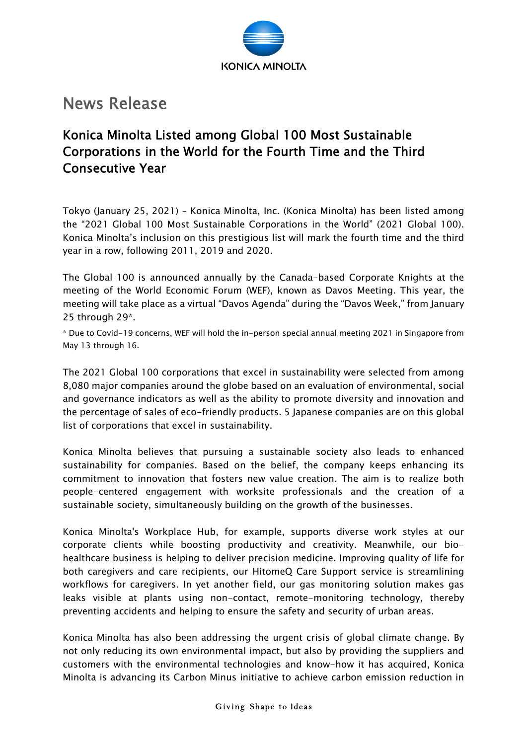

## News Release

## Konica Minolta Listed among Global 100 Most Sustainable Corporations in the World for the Fourth Time and the Third Consecutive Year

Tokyo (January 25, 2021) – Konica Minolta, Inc. (Konica Minolta) has been listed among the "2021 Global 100 Most Sustainable Corporations in the World" (2021 Global 100). Konica Minolta's inclusion on this prestigious list will mark the fourth time and the third year in a row, following 2011, 2019 and 2020.

The Global 100 is announced annually by the Canada-based Corporate Knights at the meeting of the World Economic Forum (WEF), known as Davos Meeting. This year, the meeting will take place as a virtual "Davos Agenda" during the "Davos Week," from January 25 through 29\*.

\* Due to Covid-19 concerns, WEF will hold the in-person special annual meeting 2021 in Singapore from May 13 through 16.

The 2021 Global 100 corporations that excel in sustainability were selected from among 8,080 major companies around the globe based on an evaluation of environmental, social and governance indicators as well as the ability to promote diversity and innovation and the percentage of sales of eco-friendly products. 5 Japanese companies are on this global list of corporations that excel in sustainability.

Konica Minolta believes that pursuing a sustainable society also leads to enhanced sustainability for companies. Based on the belief, the company keeps enhancing its commitment to innovation that fosters new value creation. The aim is to realize both people-centered engagement with worksite professionals and the creation of a sustainable society, simultaneously building on the growth of the businesses.

Konica Minolta's Workplace Hub, for example, supports diverse work styles at our corporate clients while boosting productivity and creativity. Meanwhile, our biohealthcare business is helping to deliver precision medicine. Improving quality of life for both caregivers and care recipients, our HitomeQ Care Support service is streamlining workflows for caregivers. In yet another field, our gas monitoring solution makes gas leaks visible at plants using non-contact, remote-monitoring technology, thereby preventing accidents and helping to ensure the safety and security of urban areas.

Konica Minolta has also been addressing the urgent crisis of global climate change. By not only reducing its own environmental impact, but also by providing the suppliers and customers with the environmental technologies and know-how it has acquired, Konica Minolta is advancing its Carbon Minus initiative to achieve carbon emission reduction in